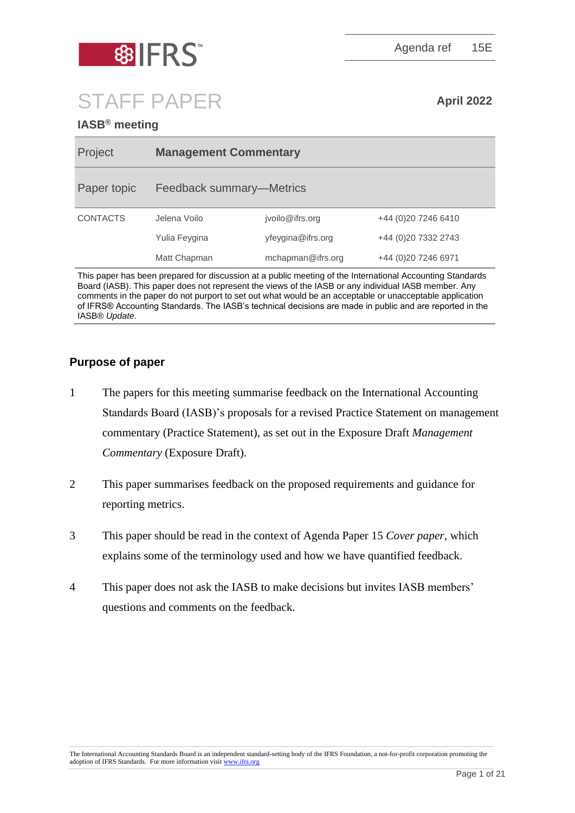



STAFF PAPER **April <sup>2022</sup>**

## **IASB® meeting**

| Project         | <b>Management Commentary</b> |                   |                      |
|-----------------|------------------------------|-------------------|----------------------|
| Paper topic     | Feedback summary—Metrics     |                   |                      |
| <b>CONTACTS</b> | Jelena Voilo                 | jvoilo@ifrs.org   | +44 (0) 20 7246 6410 |
|                 | Yulia Feygina                | yfeygina@ifrs.org | +44 (0)20 7332 2743  |
|                 | Matt Chapman                 | mchapman@ifrs.org | +44 (0) 20 7246 6971 |

This paper has been prepared for discussion at a public meeting of the International Accounting Standards Board (IASB). This paper does not represent the views of the IASB or any individual IASB member. Any comments in the paper do not purport to set out what would be an acceptable or unacceptable application of IFRS® Accounting Standards. The IASB's technical decisions are made in public and are reported in the IASB® *Update*.

## **Purpose of paper**

- 1 The papers for this meeting summarise feedback on the International Accounting Standards Board (IASB)'s proposals for a revised Practice Statement on management commentary (Practice Statement), as set out in the Exposure Draft *Management Commentary* (Exposure Draft).
- 2 This paper summarises feedback on the proposed requirements and guidance for reporting metrics.
- 3 This paper should be read in the context of Agenda Paper 15 *Cover paper*, which explains some of the terminology used and how we have quantified feedback.
- 4 This paper does not ask the IASB to make decisions but invites IASB members' questions and comments on the feedback.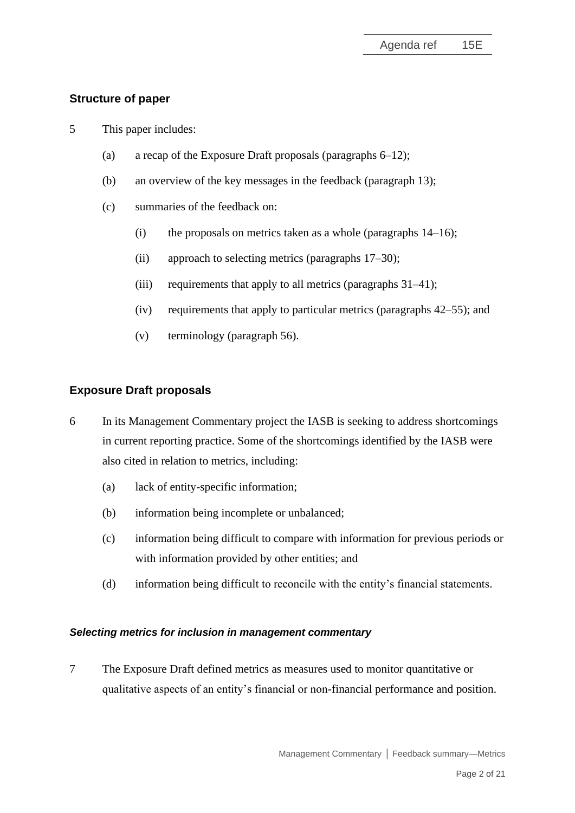## **Structure of paper**

- 5 This paper includes:
	- (a) a recap of the Exposure Draft proposals (paragraphs [6](#page-1-0)[–12\)](#page-2-0);
	- (b) an overview of the key messages in the feedback (paragraph [13\)](#page-3-0);
	- (c) summaries of the feedback on:
		- (i) the proposals on metrics taken as a whole (paragraphs  $14-16$ );
		- (ii) approach to selecting metrics (paragraphs [17–](#page-4-2)[30\)](#page-9-0);
		- (iii) requirements that apply to all metrics (paragraphs [31](#page-9-1)[–41\)](#page-13-0);
		- (iv) requirements that apply to particular metrics (paragraphs [42](#page-14-0)[–55\)](#page-19-0); and
		- (v) terminology (paragraph [56\)](#page-19-1).

## **Exposure Draft proposals**

- <span id="page-1-0"></span>6 In its Management Commentary project the IASB is seeking to address shortcomings in current reporting practice. Some of the shortcomings identified by the IASB were also cited in relation to metrics, including:
	- (a) lack of entity-specific information;
	- (b) information being incomplete or unbalanced;
	- (c) information being difficult to compare with information for previous periods or with information provided by other entities; and
	- (d) information being difficult to reconcile with the entity's financial statements.

### *Selecting metrics for inclusion in management commentary*

7 The Exposure Draft defined metrics as measures used to monitor quantitative or qualitative aspects of an entity's financial or non-financial performance and position.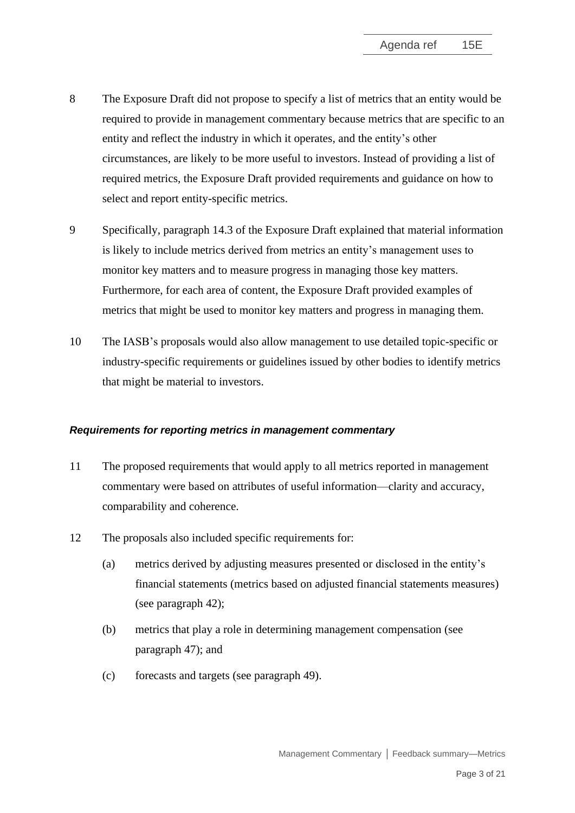- 8 The Exposure Draft did not propose to specify a list of metrics that an entity would be required to provide in management commentary because metrics that are specific to an entity and reflect the industry in which it operates, and the entity's other circumstances, are likely to be more useful to investors. Instead of providing a list of required metrics, the Exposure Draft provided requirements and guidance on how to select and report entity-specific metrics.
- 9 Specifically, paragraph 14.3 of the Exposure Draft explained that material information is likely to include metrics derived from metrics an entity's management uses to monitor key matters and to measure progress in managing those key matters. Furthermore, for each area of content, the Exposure Draft provided examples of metrics that might be used to monitor key matters and progress in managing them.
- 10 The IASB's proposals would also allow management to use detailed topic-specific or industry-specific requirements or guidelines issued by other bodies to identify metrics that might be material to investors.

### *Requirements for reporting metrics in management commentary*

- 11 The proposed requirements that would apply to all metrics reported in management commentary were based on attributes of useful information—clarity and accuracy, comparability and coherence.
- <span id="page-2-0"></span>12 The proposals also included specific requirements for:
	- (a) metrics derived by adjusting measures presented or disclosed in the entity's financial statements (metrics based on adjusted financial statements measures) (see paragraph [42\)](#page-14-0);
	- (b) metrics that play a role in determining management compensation (see paragraph [47\)](#page-16-0); and
	- (c) forecasts and targets (see paragraph [49\)](#page-16-1).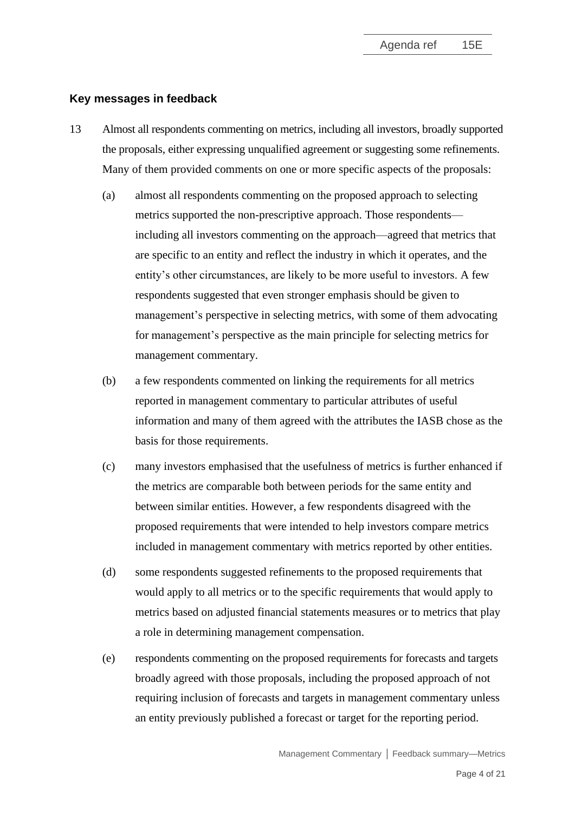### **Key messages in feedback**

- <span id="page-3-0"></span>13 Almost all respondents commenting on metrics, including all investors, broadly supported the proposals, either expressing unqualified agreement or suggesting some refinements. Many of them provided comments on one or more specific aspects of the proposals:
	- (a) almost all respondents commenting on the proposed approach to selecting metrics supported the non-prescriptive approach. Those respondents including all investors commenting on the approach—agreed that metrics that are specific to an entity and reflect the industry in which it operates, and the entity's other circumstances, are likely to be more useful to investors. A few respondents suggested that even stronger emphasis should be given to management's perspective in selecting metrics, with some of them advocating for management's perspective as the main principle for selecting metrics for management commentary.
	- (b) a few respondents commented on linking the requirements for all metrics reported in management commentary to particular attributes of useful information and many of them agreed with the attributes the IASB chose as the basis for those requirements.
	- (c) many investors emphasised that the usefulness of metrics is further enhanced if the metrics are comparable both between periods for the same entity and between similar entities. However, a few respondents disagreed with the proposed requirements that were intended to help investors compare metrics included in management commentary with metrics reported by other entities.
	- (d) some respondents suggested refinements to the proposed requirements that would apply to all metrics or to the specific requirements that would apply to metrics based on adjusted financial statements measures or to metrics that play a role in determining management compensation.
	- (e) respondents commenting on the proposed requirements for forecasts and targets broadly agreed with those proposals, including the proposed approach of not requiring inclusion of forecasts and targets in management commentary unless an entity previously published a forecast or target for the reporting period.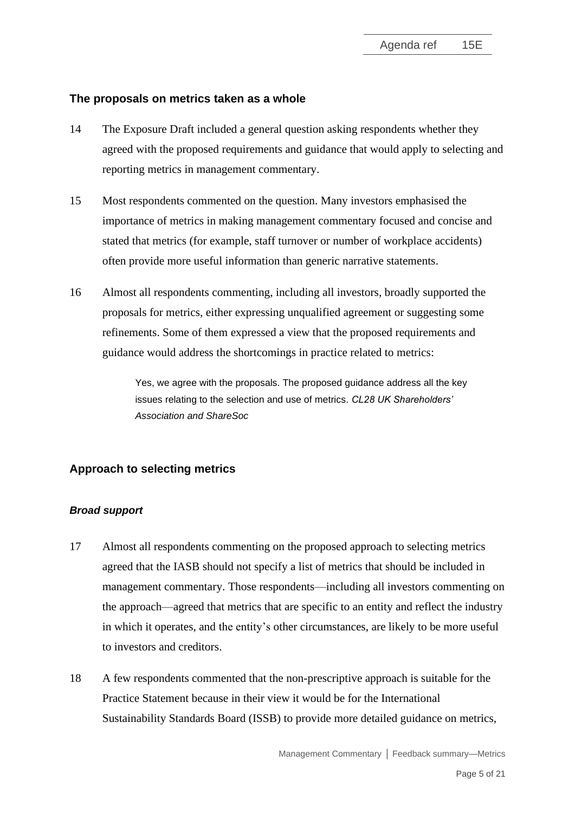#### **The proposals on metrics taken as a whole**

- <span id="page-4-0"></span>14 The Exposure Draft included a general question asking respondents whether they agreed with the proposed requirements and guidance that would apply to selecting and reporting metrics in management commentary.
- 15 Most respondents commented on the question. Many investors emphasised the importance of metrics in making management commentary focused and concise and stated that metrics (for example, staff turnover or number of workplace accidents) often provide more useful information than generic narrative statements.
- <span id="page-4-1"></span>16 Almost all respondents commenting, including all investors, broadly supported the proposals for metrics, either expressing unqualified agreement or suggesting some refinements. Some of them expressed a view that the proposed requirements and guidance would address the shortcomings in practice related to metrics:

Yes, we agree with the proposals. The proposed guidance address all the key issues relating to the selection and use of metrics. *CL28 UK Shareholders' Association and ShareSoc*

### **Approach to selecting metrics**

#### *Broad support*

- <span id="page-4-2"></span>17 Almost all respondents commenting on the proposed approach to selecting metrics agreed that the IASB should not specify a list of metrics that should be included in management commentary. Those respondents—including all investors commenting on the approach—agreed that metrics that are specific to an entity and reflect the industry in which it operates, and the entity's other circumstances, are likely to be more useful to investors and creditors.
- 18 A few respondents commented that the non-prescriptive approach is suitable for the Practice Statement because in their view it would be for the International Sustainability Standards Board (ISSB) to provide more detailed guidance on metrics,

Management Commentary **│** Feedback summary—Metrics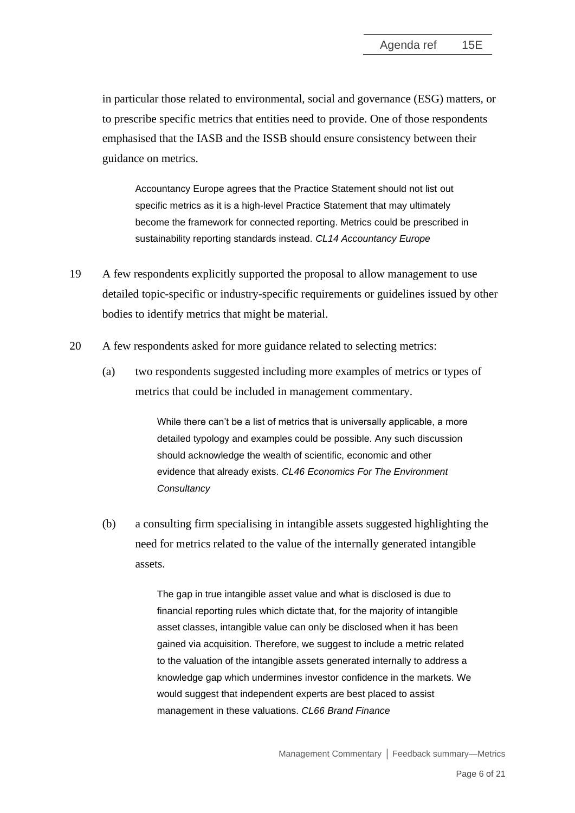in particular those related to environmental, social and governance (ESG) matters, or to prescribe specific metrics that entities need to provide. One of those respondents emphasised that the IASB and the ISSB should ensure consistency between their guidance on metrics.

Accountancy Europe agrees that the Practice Statement should not list out specific metrics as it is a high-level Practice Statement that may ultimately become the framework for connected reporting. Metrics could be prescribed in sustainability reporting standards instead. *CL14 Accountancy Europe*

- 19 A few respondents explicitly supported the proposal to allow management to use detailed topic-specific or industry-specific requirements or guidelines issued by other bodies to identify metrics that might be material.
- 20 A few respondents asked for more guidance related to selecting metrics:
	- (a) two respondents suggested including more examples of metrics or types of metrics that could be included in management commentary.

While there can't be a list of metrics that is universally applicable, a more detailed typology and examples could be possible. Any such discussion should acknowledge the wealth of scientific, economic and other evidence that already exists. *CL46 Economics For The Environment Consultancy*

(b) a consulting firm specialising in intangible assets suggested highlighting the need for metrics related to the value of the internally generated intangible assets.

> The gap in true intangible asset value and what is disclosed is due to financial reporting rules which dictate that, for the majority of intangible asset classes, intangible value can only be disclosed when it has been gained via acquisition. Therefore, we suggest to include a metric related to the valuation of the intangible assets generated internally to address a knowledge gap which undermines investor confidence in the markets. We would suggest that independent experts are best placed to assist management in these valuations. *CL66 Brand Finance*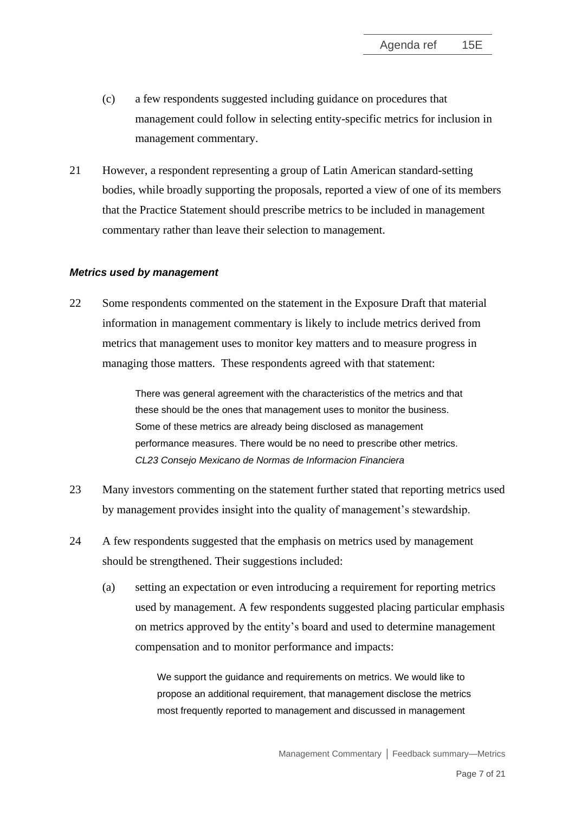- (c) a few respondents suggested including guidance on procedures that management could follow in selecting entity-specific metrics for inclusion in management commentary.
- 21 However, a respondent representing a group of Latin American standard-setting bodies, while broadly supporting the proposals, reported a view of one of its members that the Practice Statement should prescribe metrics to be included in management commentary rather than leave their selection to management.

#### *Metrics used by management*

22 Some respondents commented on the statement in the Exposure Draft that material information in management commentary is likely to include metrics derived from metrics that management uses to monitor key matters and to measure progress in managing those matters. These respondents agreed with that statement:

> There was general agreement with the characteristics of the metrics and that these should be the ones that management uses to monitor the business. Some of these metrics are already being disclosed as management performance measures. There would be no need to prescribe other metrics. *CL23 Consejo Mexicano de Normas de Informacion Financiera*

- 23 Many investors commenting on the statement further stated that reporting metrics used by management provides insight into the quality of management's stewardship.
- <span id="page-6-0"></span>24 A few respondents suggested that the emphasis on metrics used by management should be strengthened. Their suggestions included:
	- (a) setting an expectation or even introducing a requirement for reporting metrics used by management. A few respondents suggested placing particular emphasis on metrics approved by the entity's board and used to determine management compensation and to monitor performance and impacts:

We support the guidance and requirements on metrics. We would like to propose an additional requirement, that management disclose the metrics most frequently reported to management and discussed in management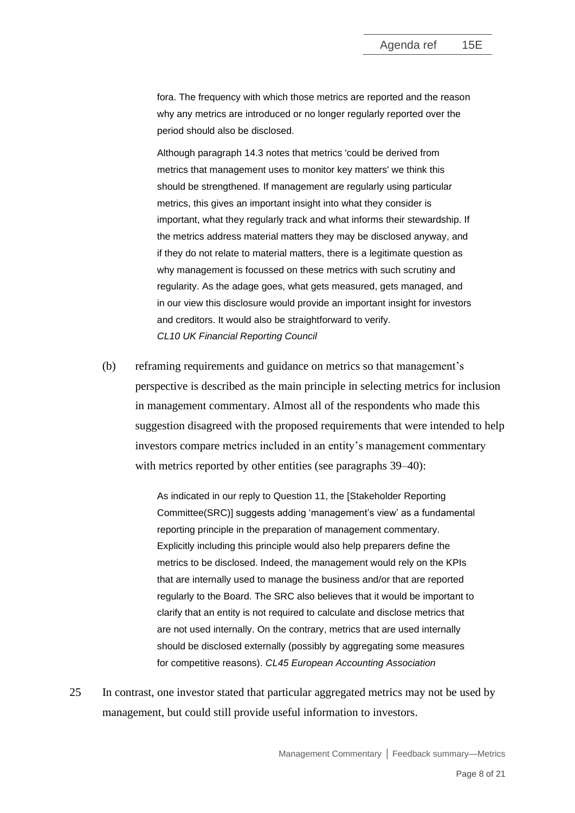fora. The frequency with which those metrics are reported and the reason why any metrics are introduced or no longer regularly reported over the period should also be disclosed.

Although paragraph 14.3 notes that metrics 'could be derived from metrics that management uses to monitor key matters' we think this should be strengthened. If management are regularly using particular metrics, this gives an important insight into what they consider is important, what they regularly track and what informs their stewardship. If the metrics address material matters they may be disclosed anyway, and if they do not relate to material matters, there is a legitimate question as why management is focussed on these metrics with such scrutiny and regularity. As the adage goes, what gets measured, gets managed, and in our view this disclosure would provide an important insight for investors and creditors. It would also be straightforward to verify. *CL10 UK Financial Reporting Council*

(b) reframing requirements and guidance on metrics so that management's perspective is described as the main principle in selecting metrics for inclusion in management commentary. Almost all of the respondents who made this suggestion disagreed with the proposed requirements that were intended to help investors compare metrics included in an entity's management commentary with metrics reported by other entities (see paragraphs [39–](#page-12-0)[40\)](#page-13-1):

> As indicated in our reply to Question 11, the [Stakeholder Reporting Committee(SRC)] suggests adding 'management's view' as a fundamental reporting principle in the preparation of management commentary. Explicitly including this principle would also help preparers define the metrics to be disclosed. Indeed, the management would rely on the KPIs that are internally used to manage the business and/or that are reported regularly to the Board. The SRC also believes that it would be important to clarify that an entity is not required to calculate and disclose metrics that are not used internally. On the contrary, metrics that are used internally should be disclosed externally (possibly by aggregating some measures for competitive reasons). *CL45 European Accounting Association*

25 In contrast, one investor stated that particular aggregated metrics may not be used by management, but could still provide useful information to investors.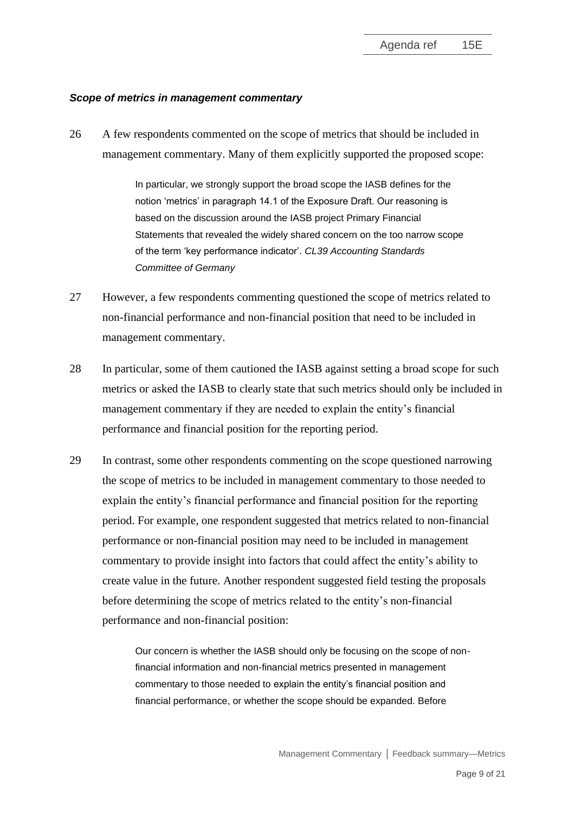#### *Scope of metrics in management commentary*

26 A few respondents commented on the scope of metrics that should be included in management commentary. Many of them explicitly supported the proposed scope:

> In particular, we strongly support the broad scope the IASB defines for the notion 'metrics' in paragraph 14.1 of the Exposure Draft. Our reasoning is based on the discussion around the IASB project Primary Financial Statements that revealed the widely shared concern on the too narrow scope of the term 'key performance indicator'. *CL39 Accounting Standards Committee of Germany*

- 27 However, a few respondents commenting questioned the scope of metrics related to non-financial performance and non-financial position that need to be included in management commentary.
- 28 In particular, some of them cautioned the IASB against setting a broad scope for such metrics or asked the IASB to clearly state that such metrics should only be included in management commentary if they are needed to explain the entity's financial performance and financial position for the reporting period.
- 29 In contrast, some other respondents commenting on the scope questioned narrowing the scope of metrics to be included in management commentary to those needed to explain the entity's financial performance and financial position for the reporting period. For example, one respondent suggested that metrics related to non-financial performance or non-financial position may need to be included in management commentary to provide insight into factors that could affect the entity's ability to create value in the future. Another respondent suggested field testing the proposals before determining the scope of metrics related to the entity's non-financial performance and non-financial position:

Our concern is whether the IASB should only be focusing on the scope of nonfinancial information and non-financial metrics presented in management commentary to those needed to explain the entity's financial position and financial performance, or whether the scope should be expanded. Before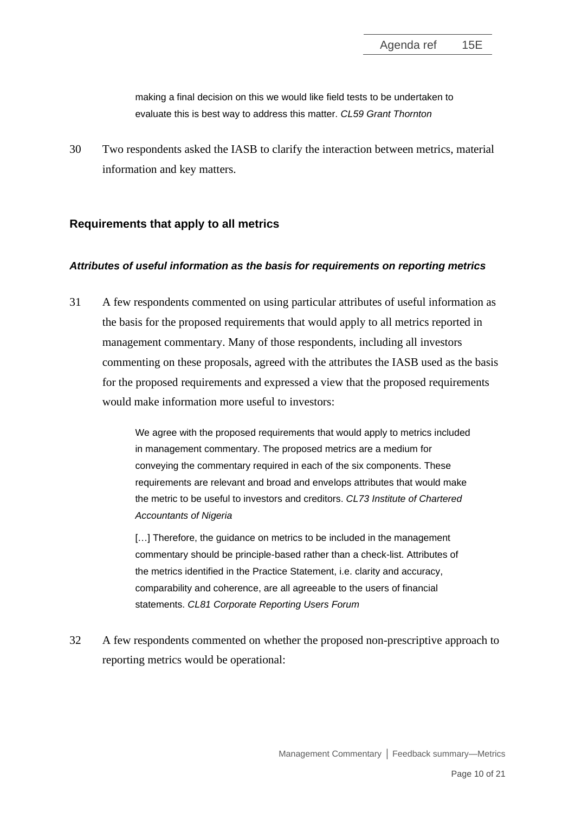making a final decision on this we would like field tests to be undertaken to evaluate this is best way to address this matter. *CL59 Grant Thornton*

<span id="page-9-0"></span>30 Two respondents asked the IASB to clarify the interaction between metrics, material information and key matters.

### **Requirements that apply to all metrics**

#### *Attributes of useful information as the basis for requirements on reporting metrics*

<span id="page-9-1"></span>31 A few respondents commented on using particular attributes of useful information as the basis for the proposed requirements that would apply to all metrics reported in management commentary. Many of those respondents, including all investors commenting on these proposals, agreed with the attributes the IASB used as the basis for the proposed requirements and expressed a view that the proposed requirements would make information more useful to investors:

> We agree with the proposed requirements that would apply to metrics included in management commentary. The proposed metrics are a medium for conveying the commentary required in each of the six components. These requirements are relevant and broad and envelops attributes that would make the metric to be useful to investors and creditors. *CL73 Institute of Chartered Accountants of Nigeria*

[...] Therefore, the guidance on metrics to be included in the management commentary should be principle-based rather than a check-list. Attributes of the metrics identified in the Practice Statement, i.e. clarity and accuracy, comparability and coherence, are all agreeable to the users of financial statements. *CL81 Corporate Reporting Users Forum*

32 A few respondents commented on whether the proposed non-prescriptive approach to reporting metrics would be operational: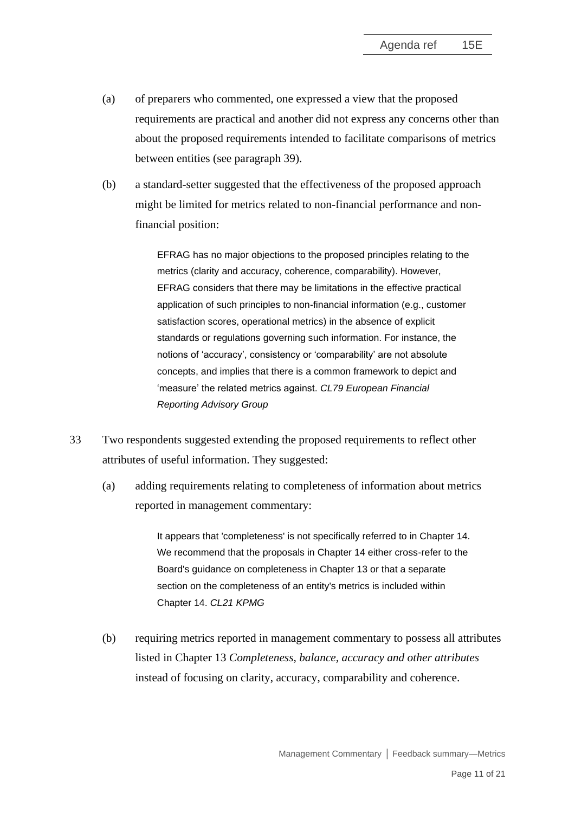- (a) of preparers who commented, one expressed a view that the proposed requirements are practical and another did not express any concerns other than about the proposed requirements intended to facilitate comparisons of metrics between entities (see paragraph [39\)](#page-12-0).
- (b) a standard-setter suggested that the effectiveness of the proposed approach might be limited for metrics related to non-financial performance and nonfinancial position:

EFRAG has no major objections to the proposed principles relating to the metrics (clarity and accuracy, coherence, comparability). However, EFRAG considers that there may be limitations in the effective practical application of such principles to non-financial information (e.g., customer satisfaction scores, operational metrics) in the absence of explicit standards or regulations governing such information. For instance, the notions of 'accuracy', consistency or 'comparability' are not absolute concepts, and implies that there is a common framework to depict and 'measure' the related metrics against. *CL79 European Financial Reporting Advisory Group*

- 33 Two respondents suggested extending the proposed requirements to reflect other attributes of useful information. They suggested:
	- (a) adding requirements relating to completeness of information about metrics reported in management commentary:

It appears that 'completeness' is not specifically referred to in Chapter 14. We recommend that the proposals in Chapter 14 either cross-refer to the Board's guidance on completeness in Chapter 13 or that a separate section on the completeness of an entity's metrics is included within Chapter 14. *CL21 KPMG*

(b) requiring metrics reported in management commentary to possess all attributes listed in Chapter 13 *Completeness, balance, accuracy and other attributes* instead of focusing on clarity, accuracy, comparability and coherence.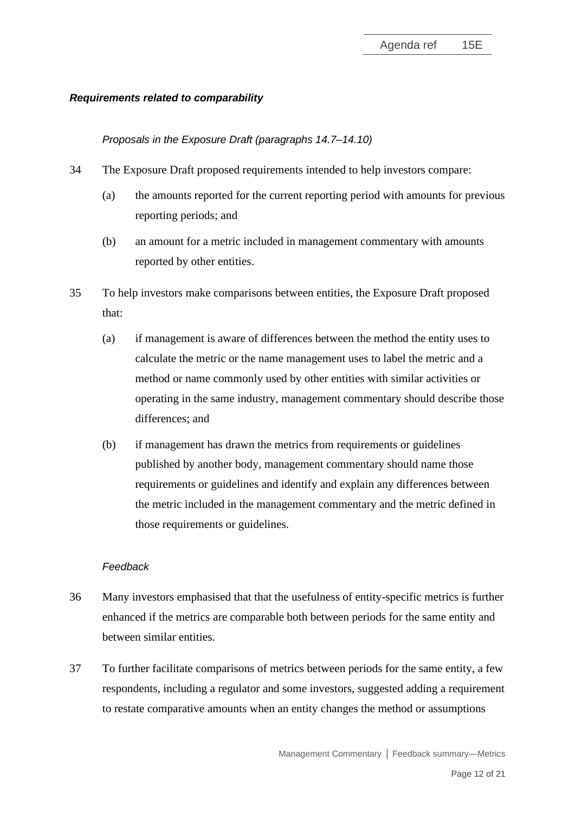### *Requirements related to comparability*

*Proposals in the Exposure Draft (paragraphs 14.7–14.10)*

- 34 The Exposure Draft proposed requirements intended to help investors compare:
	- (a) the amounts reported for the current reporting period with amounts for previous reporting periods; and
	- (b) an amount for a metric included in management commentary with amounts reported by other entities.
- 35 To help investors make comparisons between entities, the Exposure Draft proposed that:
	- (a) if management is aware of differences between the method the entity uses to calculate the metric or the name management uses to label the metric and a method or name commonly used by other entities with similar activities or operating in the same industry, management commentary should describe those differences; and
	- (b) if management has drawn the metrics from requirements or guidelines published by another body, management commentary should name those requirements or guidelines and identify and explain any differences between the metric included in the management commentary and the metric defined in those requirements or guidelines.

#### *Feedback*

- <span id="page-11-0"></span>36 Many investors emphasised that that the usefulness of entity-specific metrics is further enhanced if the metrics are comparable both between periods for the same entity and between similar entities.
- 37 To further facilitate comparisons of metrics between periods for the same entity, a few respondents, including a regulator and some investors, suggested adding a requirement to restate comparative amounts when an entity changes the method or assumptions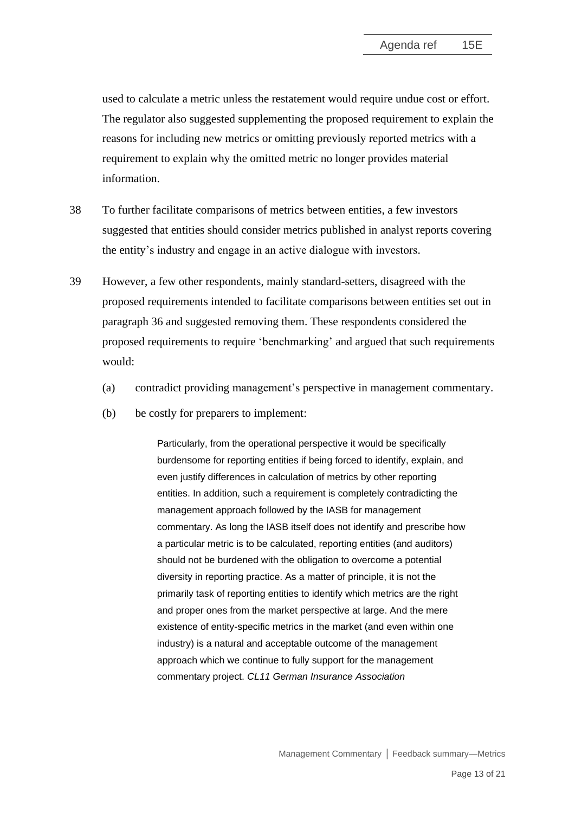used to calculate a metric unless the restatement would require undue cost or effort. The regulator also suggested supplementing the proposed requirement to explain the reasons for including new metrics or omitting previously reported metrics with a requirement to explain why the omitted metric no longer provides material information.

- 38 To further facilitate comparisons of metrics between entities, a few investors suggested that entities should consider metrics published in analyst reports covering the entity's industry and engage in an active dialogue with investors.
- <span id="page-12-0"></span>39 However, a few other respondents, mainly standard-setters, disagreed with the proposed requirements intended to facilitate comparisons between entities set out in paragraph [36](#page-11-0) and suggested removing them. These respondents considered the proposed requirements to require 'benchmarking' and argued that such requirements would:
	- (a) contradict providing management's perspective in management commentary.
	- (b) be costly for preparers to implement:

Particularly, from the operational perspective it would be specifically burdensome for reporting entities if being forced to identify, explain, and even justify differences in calculation of metrics by other reporting entities. In addition, such a requirement is completely contradicting the management approach followed by the IASB for management commentary. As long the IASB itself does not identify and prescribe how a particular metric is to be calculated, reporting entities (and auditors) should not be burdened with the obligation to overcome a potential diversity in reporting practice. As a matter of principle, it is not the primarily task of reporting entities to identify which metrics are the right and proper ones from the market perspective at large. And the mere existence of entity-specific metrics in the market (and even within one industry) is a natural and acceptable outcome of the management approach which we continue to fully support for the management commentary project. *CL11 German Insurance Association*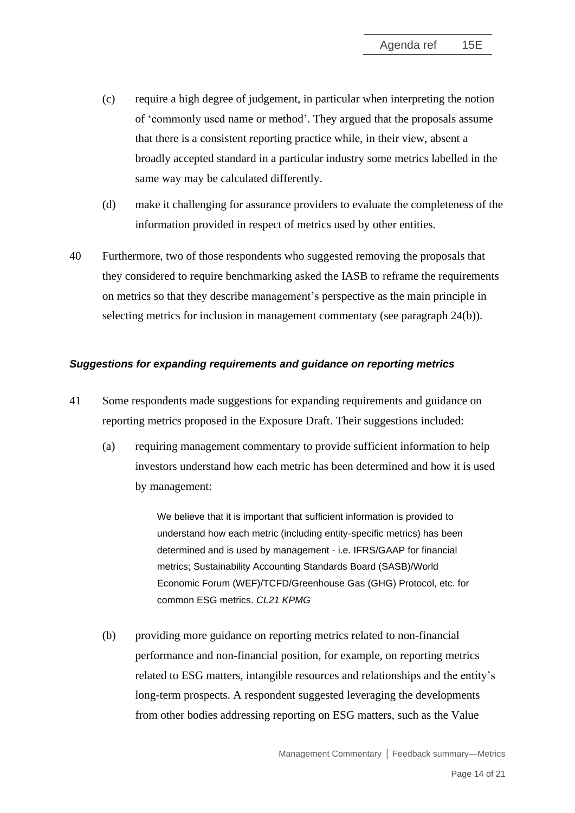- (c) require a high degree of judgement, in particular when interpreting the notion of 'commonly used name or method'. They argued that the proposals assume that there is a consistent reporting practice while, in their view, absent a broadly accepted standard in a particular industry some metrics labelled in the same way may be calculated differently.
- (d) make it challenging for assurance providers to evaluate the completeness of the information provided in respect of metrics used by other entities.
- <span id="page-13-1"></span>40 Furthermore, two of those respondents who suggested removing the proposals that they considered to require benchmarking asked the IASB to reframe the requirements on metrics so that they describe management's perspective as the main principle in selecting metrics for inclusion in management commentary (see paragraph [24\(](#page-6-0)b)).

### *Suggestions for expanding requirements and guidance on reporting metrics*

- <span id="page-13-0"></span>41 Some respondents made suggestions for expanding requirements and guidance on reporting metrics proposed in the Exposure Draft. Their suggestions included:
	- (a) requiring management commentary to provide sufficient information to help investors understand how each metric has been determined and how it is used by management:

We believe that it is important that sufficient information is provided to understand how each metric (including entity-specific metrics) has been determined and is used by management - i.e. IFRS/GAAP for financial metrics; Sustainability Accounting Standards Board (SASB)/World Economic Forum (WEF)/TCFD/Greenhouse Gas (GHG) Protocol, etc. for common ESG metrics. *CL21 KPMG*

(b) providing more guidance on reporting metrics related to non-financial performance and non-financial position, for example, on reporting metrics related to ESG matters, intangible resources and relationships and the entity's long-term prospects. A respondent suggested leveraging the developments from other bodies addressing reporting on ESG matters, such as the Value

Management Commentary **│** Feedback summary—Metrics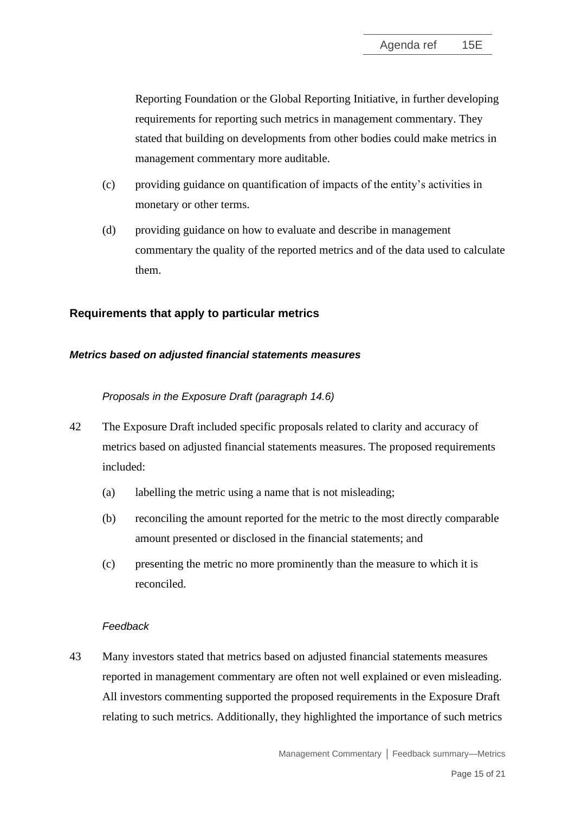Reporting Foundation or the Global Reporting Initiative, in further developing requirements for reporting such metrics in management commentary. They stated that building on developments from other bodies could make metrics in management commentary more auditable.

- (c) providing guidance on quantification of impacts of the entity's activities in monetary or other terms.
- (d) providing guidance on how to evaluate and describe in management commentary the quality of the reported metrics and of the data used to calculate them.

# **Requirements that apply to particular metrics**

### *Metrics based on adjusted financial statements measures*

### *Proposals in the Exposure Draft (paragraph 14.6)*

- <span id="page-14-0"></span>42 The Exposure Draft included specific proposals related to clarity and accuracy of metrics based on adjusted financial statements measures. The proposed requirements included:
	- (a) labelling the metric using a name that is not misleading;
	- (b) reconciling the amount reported for the metric to the most directly comparable amount presented or disclosed in the financial statements; and
	- (c) presenting the metric no more prominently than the measure to which it is reconciled.

### *Feedback*

43 Many investors stated that metrics based on adjusted financial statements measures reported in management commentary are often not well explained or even misleading. All investors commenting supported the proposed requirements in the Exposure Draft relating to such metrics. Additionally, they highlighted the importance of such metrics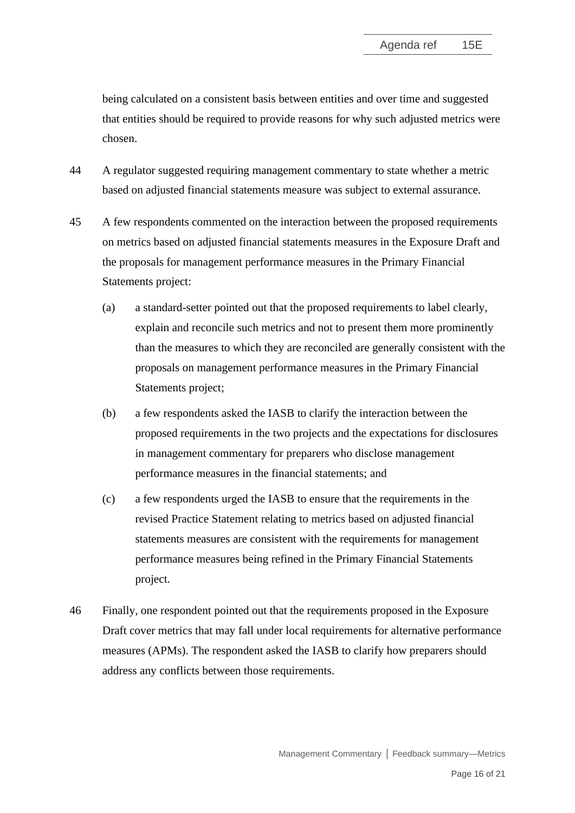being calculated on a consistent basis between entities and over time and suggested that entities should be required to provide reasons for why such adjusted metrics were chosen.

- 44 A regulator suggested requiring management commentary to state whether a metric based on adjusted financial statements measure was subject to external assurance.
- 45 A few respondents commented on the interaction between the proposed requirements on metrics based on adjusted financial statements measures in the Exposure Draft and the proposals for management performance measures in the Primary Financial Statements project:
	- (a) a standard-setter pointed out that the proposed requirements to label clearly, explain and reconcile such metrics and not to present them more prominently than the measures to which they are reconciled are generally consistent with the proposals on management performance measures in the Primary Financial Statements project;
	- (b) a few respondents asked the IASB to clarify the interaction between the proposed requirements in the two projects and the expectations for disclosures in management commentary for preparers who disclose management performance measures in the financial statements; and
	- (c) a few respondents urged the IASB to ensure that the requirements in the revised Practice Statement relating to metrics based on adjusted financial statements measures are consistent with the requirements for management performance measures being refined in the Primary Financial Statements project.
- 46 Finally, one respondent pointed out that the requirements proposed in the Exposure Draft cover metrics that may fall under local requirements for alternative performance measures (APMs). The respondent asked the IASB to clarify how preparers should address any conflicts between those requirements.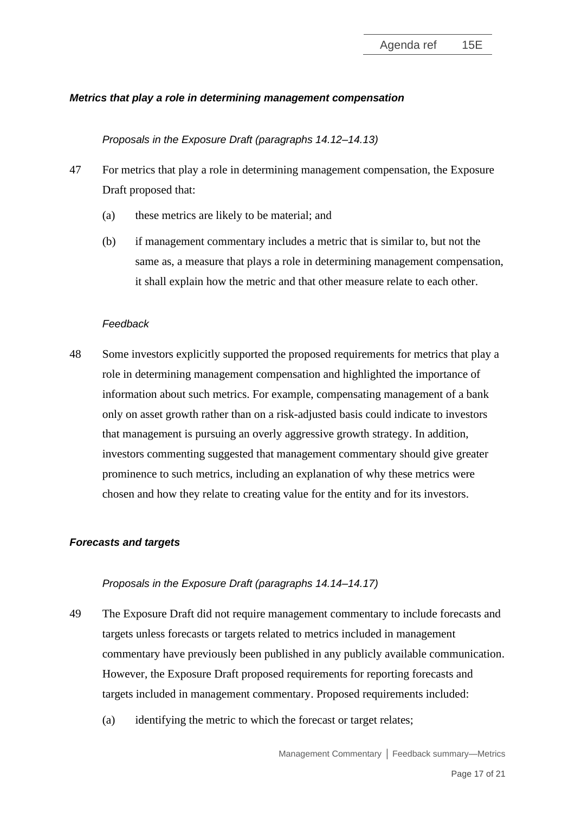## *Metrics that play a role in determining management compensation*

#### *Proposals in the Exposure Draft (paragraphs 14.12–14.13)*

- <span id="page-16-0"></span>47 For metrics that play a role in determining management compensation, the Exposure Draft proposed that:
	- (a) these metrics are likely to be material; and
	- (b) if management commentary includes a metric that is similar to, but not the same as, a measure that plays a role in determining management compensation, it shall explain how the metric and that other measure relate to each other.

#### *Feedback*

48 Some investors explicitly supported the proposed requirements for metrics that play a role in determining management compensation and highlighted the importance of information about such metrics. For example, compensating management of a bank only on asset growth rather than on a risk-adjusted basis could indicate to investors that management is pursuing an overly aggressive growth strategy. In addition, investors commenting suggested that management commentary should give greater prominence to such metrics, including an explanation of why these metrics were chosen and how they relate to creating value for the entity and for its investors.

### *Forecasts and targets*

### *Proposals in the Exposure Draft (paragraphs 14.14–14.17)*

- <span id="page-16-1"></span>49 The Exposure Draft did not require management commentary to include forecasts and targets unless forecasts or targets related to metrics included in management commentary have previously been published in any publicly available communication. However, the Exposure Draft proposed requirements for reporting forecasts and targets included in management commentary. Proposed requirements included:
	- (a) identifying the metric to which the forecast or target relates;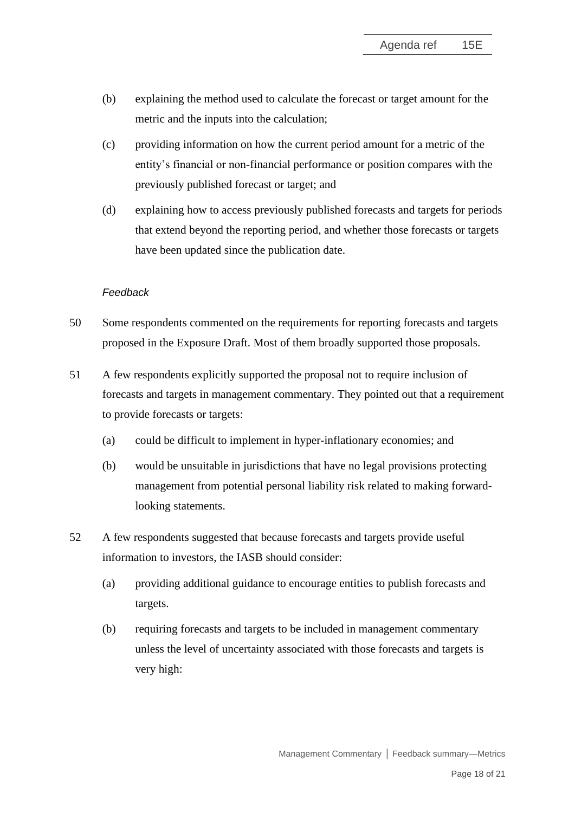- (b) explaining the method used to calculate the forecast or target amount for the metric and the inputs into the calculation;
- (c) providing information on how the current period amount for a metric of the entity's financial or non-financial performance or position compares with the previously published forecast or target; and
- (d) explaining how to access previously published forecasts and targets for periods that extend beyond the reporting period, and whether those forecasts or targets have been updated since the publication date.

#### *Feedback*

- 50 Some respondents commented on the requirements for reporting forecasts and targets proposed in the Exposure Draft. Most of them broadly supported those proposals.
- 51 A few respondents explicitly supported the proposal not to require inclusion of forecasts and targets in management commentary. They pointed out that a requirement to provide forecasts or targets:
	- (a) could be difficult to implement in hyper-inflationary economies; and
	- (b) would be unsuitable in jurisdictions that have no legal provisions protecting management from potential personal liability risk related to making forwardlooking statements.
- 52 A few respondents suggested that because forecasts and targets provide useful information to investors, the IASB should consider:
	- (a) providing additional guidance to encourage entities to publish forecasts and targets.
	- (b) requiring forecasts and targets to be included in management commentary unless the level of uncertainty associated with those forecasts and targets is very high: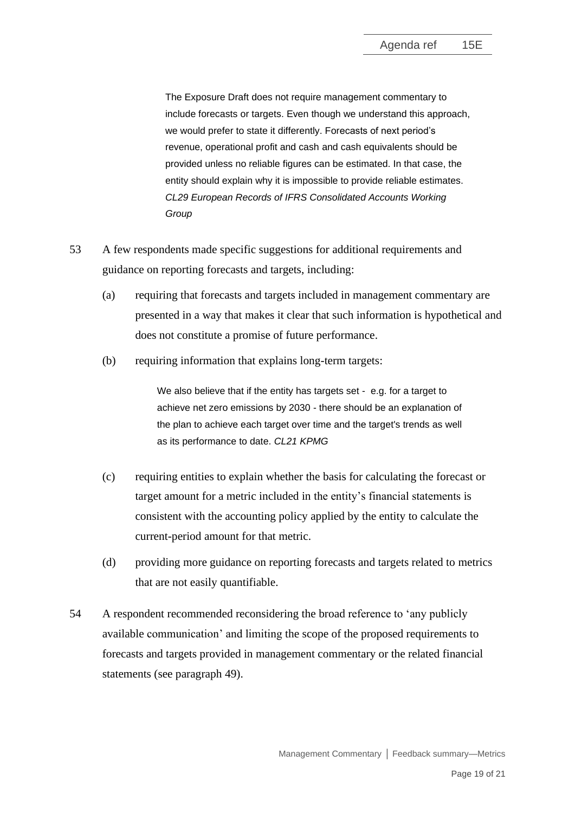The Exposure Draft does not require management commentary to include forecasts or targets. Even though we understand this approach, we would prefer to state it differently. Forecasts of next period's revenue, operational profit and cash and cash equivalents should be provided unless no reliable figures can be estimated. In that case, the entity should explain why it is impossible to provide reliable estimates. *CL29 European Records of IFRS Consolidated Accounts Working Group*

- 53 A few respondents made specific suggestions for additional requirements and guidance on reporting forecasts and targets, including:
	- (a) requiring that forecasts and targets included in management commentary are presented in a way that makes it clear that such information is hypothetical and does not constitute a promise of future performance.
	- (b) requiring information that explains long-term targets:

We also believe that if the entity has targets set - e.g. for a target to achieve net zero emissions by 2030 - there should be an explanation of the plan to achieve each target over time and the target's trends as well as its performance to date. *CL21 KPMG*

- (c) requiring entities to explain whether the basis for calculating the forecast or target amount for a metric included in the entity's financial statements is consistent with the accounting policy applied by the entity to calculate the current-period amount for that metric.
- (d) providing more guidance on reporting forecasts and targets related to metrics that are not easily quantifiable.
- 54 A respondent recommended reconsidering the broad reference to 'any publicly available communication' and limiting the scope of the proposed requirements to forecasts and targets provided in management commentary or the related financial statements (see paragraph [49\)](#page-16-1).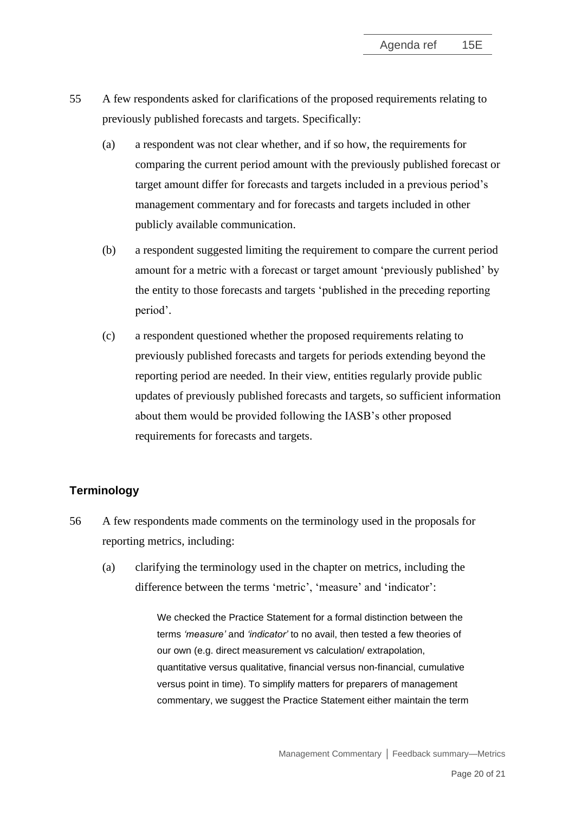- <span id="page-19-0"></span>55 A few respondents asked for clarifications of the proposed requirements relating to previously published forecasts and targets. Specifically:
	- (a) a respondent was not clear whether, and if so how, the requirements for comparing the current period amount with the previously published forecast or target amount differ for forecasts and targets included in a previous period's management commentary and for forecasts and targets included in other publicly available communication.
	- (b) a respondent suggested limiting the requirement to compare the current period amount for a metric with a forecast or target amount 'previously published' by the entity to those forecasts and targets 'published in the preceding reporting period'.
	- (c) a respondent questioned whether the proposed requirements relating to previously published forecasts and targets for periods extending beyond the reporting period are needed. In their view, entities regularly provide public updates of previously published forecasts and targets, so sufficient information about them would be provided following the IASB's other proposed requirements for forecasts and targets.

# **Terminology**

- <span id="page-19-1"></span>56 A few respondents made comments on the terminology used in the proposals for reporting metrics, including:
	- (a) clarifying the terminology used in the chapter on metrics, including the difference between the terms 'metric', 'measure' and 'indicator':

We checked the Practice Statement for a formal distinction between the terms *'measure'* and *'indicator'* to no avail, then tested a few theories of our own (e.g. direct measurement vs calculation/ extrapolation, quantitative versus qualitative, financial versus non-financial, cumulative versus point in time). To simplify matters for preparers of management commentary, we suggest the Practice Statement either maintain the term